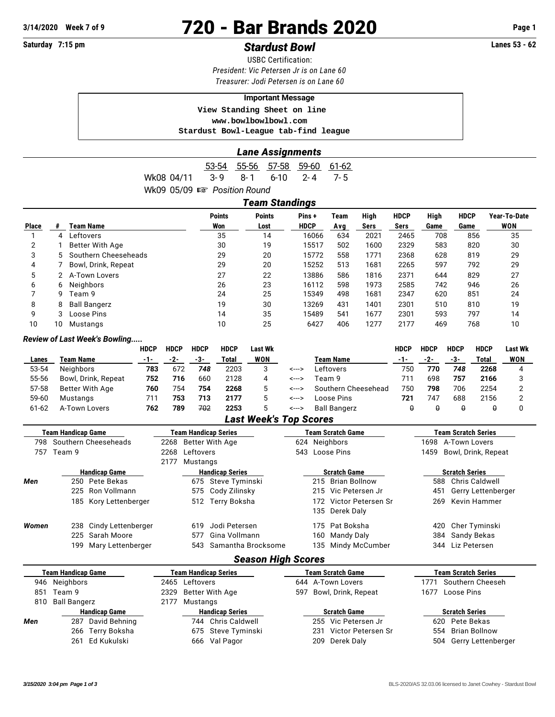# **3/14/2020 Week 7 of 9 720 - Bar Brands 2020 Page 1**

## **Saturday 7:15 pm** *Stardust Bowl* **Lanes 53 - 62**

USBC Certification: *President: Vic Petersen Jr is on Lane 60 Treasurer: Jodi Petersen is on Lane 60*

#### **Important Message**

 **View Standing Sheet on line <www.bowlbowlbowl.com> Stardust Bowl-League tab-find league**

#### *Lane Assignments*

53-54 55-56 57-58 59-60 61-62 Wk08 04/11 3-9 8-1 6-10 2-4 7-5 Wk09 05/09  $\mathbb{R}$  Position Round

*Team Standings*

|              |    |                      |                      | ı canı vlanuniyə |                      |      |      |             |              |             |              |
|--------------|----|----------------------|----------------------|------------------|----------------------|------|------|-------------|--------------|-------------|--------------|
|              |    | Team Name            | <b>Points</b><br>Won | <b>Points</b>    | Pins+<br><b>HDCP</b> | Team | High | <b>HDCP</b> | High<br>Game | <b>HDCP</b> | Year-To-Date |
| <b>Place</b> |    |                      |                      | Lost             |                      | Avg  | Sers | Sers        |              | Game        | WON          |
|              | 4  | Leftovers            | 35                   | 14               | 16066                | 634  | 2021 | 2465        | 708          | 856         | 35           |
| 2            |    | Better With Age      | 30                   | 19               | 15517                | 502  | 1600 | 2329        | 583          | 820         | 30           |
| 3            | 5  | Southern Cheeseheads | 29                   | 20               | 15772                | 558  | 1771 | 2368        | 628          | 819         | 29           |
| 4            |    | Bowl, Drink, Repeat  | 29                   | 20               | 15252                | 513  | 1681 | 2265        | 597          | 792         | 29           |
| 5            |    | A-Town Lovers        | 27                   | 22               | 13886                | 586  | 1816 | 2371        | 644          | 829         | 27           |
| 6            | 6  | Neighbors            | 26                   | 23               | 16112                | 598  | 1973 | 2585        | 742          | 946         | 26           |
|              | 9  | Team 9               | 24                   | 25               | 15349                | 498  | 1681 | 2347        | 620          | 851         | 24           |
| 8            | 8  | <b>Ball Bangerz</b>  | 19                   | 30               | 13269                | 431  | 1401 | 2301        | 510          | 810         | 19           |
| 9            |    | Loose Pins           | 14                   | 35               | 15489                | 541  | 1677 | 2301        | 593          | 797         | 14           |
| 10           | 10 | Mustangs             | 10                   | 25               | 6427                 | 406  | 1277 | 2177        | 469          | 768         | 10           |

#### *Review of Last Week's Bowling.....*

|           |                     | <b>HDCP</b> | <b>HDCP</b> | <b>HDCP</b> | <b>HDCP</b> | Last Wk |       |                     | HDCP | <b>HDCP</b> | HDCP | <b>HDCP</b> | Last Wk |
|-----------|---------------------|-------------|-------------|-------------|-------------|---------|-------|---------------------|------|-------------|------|-------------|---------|
| Lanes     | Team Name           | -1-         | -2-         | -3-         | Total       | WON     |       | Team Name           | -1-  | -2-         | -3-  | Total       | WON     |
| 53-54     | Neighbors           | 783         | 672         | 748         | 2203        |         | <---> | Leftovers           | 750  | 770         | 748  | 2268        |         |
| 55-56     | Bowl, Drink, Repeat | 752         | 716         | 660         | 2128        | 4       | <---> | Team 9              | 711  | 698         | 757  | 2166        |         |
| 57-58     | Better With Age     | 760         | 754         | 754         | 2268        |         | <---> | Southern Cheesehead | 750  | 798         | 706  | 2254        |         |
| 59-60     | Mustangs            | 711         | 753         | 713         | 2177        |         | <---> | Loose Pins          | 721  | 747         | 688  | 2156        |         |
| $61 - 62$ | A-Town Lovers       | 762         | 789         | 702         | 2253        |         | <---> | <b>Ball Bangerz</b> |      |             | ₩    |             |         |

### *Last Week's Top Scores*

|       | Team Handicap Game        |                        |      |                  | Team Handicap Series        |                |     | Team Scratch Game        | <b>Team Scratch Series</b> |                            |  |
|-------|---------------------------|------------------------|------|------------------|-----------------------------|----------------|-----|--------------------------|----------------------------|----------------------------|--|
| 798   | Southern Cheeseheads      | 2268 Better With Age   |      |                  | 624 Neighbors               |                |     | 1698 A-Town Lovers       |                            |                            |  |
|       | 757 Team 9                |                        | 2268 | Leftovers        |                             | 543 Loose Pins |     |                          | 1459                       | Bowl, Drink, Repeat        |  |
|       |                           |                        | 2177 | Mustangs         |                             |                |     |                          |                            |                            |  |
|       |                           | <b>Handicap Game</b>   |      |                  | <b>Handicap Series</b>      |                |     | <b>Scratch Game</b>      |                            | <b>Scratch Series</b>      |  |
| Men   |                           | 250 Pete Bekas         |      |                  | 675 Steve Tyminski          |                |     | 215 Brian Bollnow        | 588                        | Chris Caldwell             |  |
|       |                           | 225 Ron Vollmann       |      |                  | 575 Cody Zilinsky           |                |     | 215 Vic Petersen Jr      | 451                        | Gerry Lettenberger         |  |
|       |                           | 185 Kory Lettenberger  |      |                  | 512 Terry Boksha            |                |     | 172 Victor Petersen Sr   | 269                        | Kevin Hammer               |  |
|       |                           |                        |      |                  |                             |                |     | 135 Derek Daly           |                            |                            |  |
| Women |                           | 238 Cindy Lettenberger |      | 619              | Jodi Petersen               |                |     | 175 Pat Boksha           | 420                        | Cher Tyminski              |  |
|       | 225                       | Sarah Moore            |      | 577              | Gina Vollmann               |                | 160 | Mandy Daly               | 384                        | Sandy Bekas                |  |
|       |                           | 199 Mary Lettenberger  |      | 543              | Samantha Brocksome          |                |     | 135 Mindy McCumber       |                            | 344 Liz Petersen           |  |
|       |                           |                        |      |                  | <b>Season High Scores</b>   |                |     |                          |                            |                            |  |
|       | <b>Team Handicap Game</b> |                        |      |                  | <b>Team Handicap Series</b> |                |     | <b>Team Scratch Game</b> |                            | <b>Team Scratch Series</b> |  |
|       | 046 Noighboro             |                        |      | $2465$ Loftovore |                             |                |     | $611 \Delta$ Town Lovers |                            | 1771 Couthorn Choosah      |  |

|     | .                    |                        |                         |                          |
|-----|----------------------|------------------------|-------------------------|--------------------------|
|     | 946 Neighbors        | 2465 Leftovers         | 644 A-Town Lovers       | Southern Cheeseh<br>1771 |
| 851 | Team 9               | 2329 Better With Age   | 597 Bowl, Drink, Repeat | Loose Pins<br>1677       |
|     | 810 Ball Bangerz     | 2177 Mustangs          |                         |                          |
|     | <b>Handicap Game</b> | <b>Handicap Series</b> | <b>Scratch Game</b>     | <b>Scratch Series</b>    |
| Men | 287 David Behning    | 744 Chris Caldwell     | 255 Vic Petersen Jr     | 620 Pete Bekas           |
|     | 266 Terry Boksha     | 675 Steve Tyminski     | 231 Victor Petersen Sr  | 554 Brian Bollnow        |
|     | 261 Ed Kukulski      | 666 Val Pagor          | 209 Derek Daly          | 504 Gerry Lettenberger   |
|     |                      |                        |                         |                          |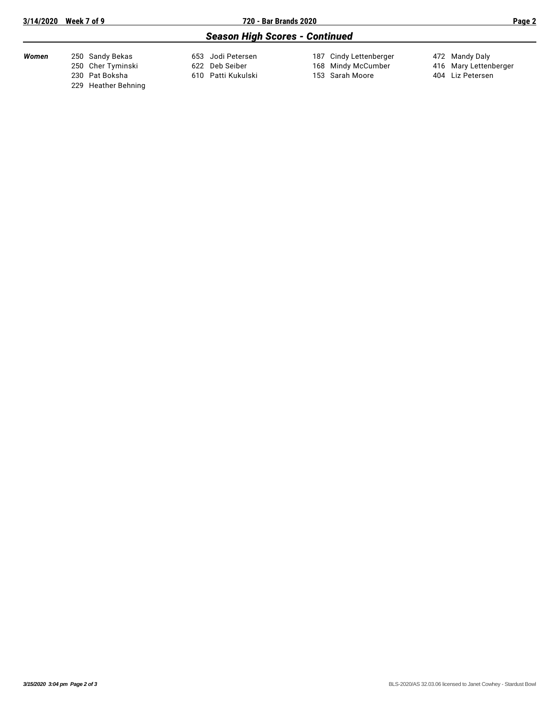| 3/14/2020 Week 7 of 9 |                     | 720 - Bar Brands 2020                 |                        | Page 2                |
|-----------------------|---------------------|---------------------------------------|------------------------|-----------------------|
|                       |                     | <b>Season High Scores - Continued</b> |                        |                       |
| Women                 | 250 Sandy Bekas     | 653 Jodi Petersen                     | 187 Cindy Lettenberger | 472 Mandy Daly        |
|                       | 250 Cher Tyminski   | 622 Deb Seiber                        | 168 Mindy McCumber     | 416 Mary Lettenberger |
|                       | 230 Pat Boksha      | 610 Patti Kukulski                    | 153 Sarah Moore        | 404 Liz Petersen      |
|                       | 229 Heather Behning |                                       |                        |                       |